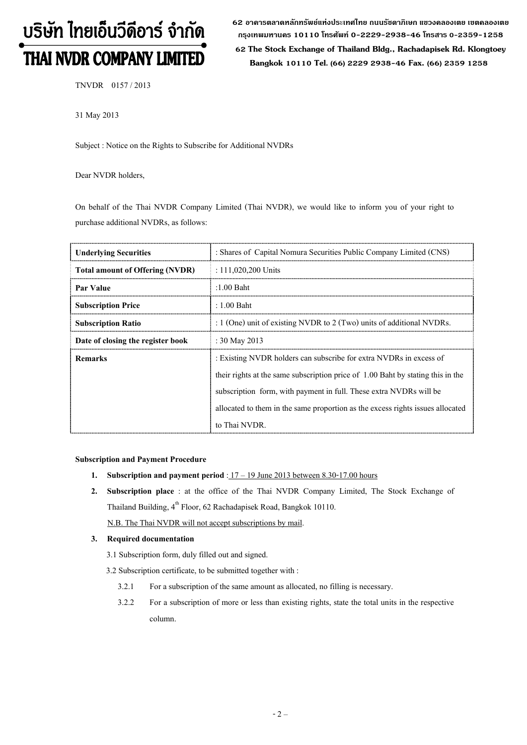# บริษัท ไทยเอ็นวีดีอาร์ จำกัด THAI NVDR COMPANY LIMITED

62 อาดารตลาดหลักทรัพย์แห่งประเทศไทย ถนนรัซดาภิเษก แขวงดลองเตย เขตดลองเตย **ก"# 10110 & 0-2229-2938-46 &, 0-2359-1258**

 **62 The Stock Exchange of Thailand Bldg., Rachadapisek Rd. Klongtoey Bangkok 10110 Tel. (66) 2229 2938-46 Fax. (66) 2359 1258**

TNVDR 0157 / 2013

31 May 2013

Subject : Notice on the Rights to Subscribe for Additional NVDRs

Dear NVDR holders,

On behalf of the Thai NVDR Company Limited (Thai NVDR), we would like to inform you of your right to purchase additional NVDRs, as follows:

| <b>Underlying Securities</b>           | : Shares of Capital Nomura Securities Public Company Limited (CNS)              |  |  |
|----------------------------------------|---------------------------------------------------------------------------------|--|--|
| <b>Total amount of Offering (NVDR)</b> | : $111,020,200$ Units                                                           |  |  |
| Par Value                              | $:1.00$ Baht                                                                    |  |  |
| <b>Subscription Price</b>              | $: 1.00$ Baht                                                                   |  |  |
| <b>Subscription Ratio</b>              | : 1 (One) unit of existing NVDR to 2 (Two) units of additional NVDRs.           |  |  |
| Date of closing the register book      | : $30$ May 2013                                                                 |  |  |
| <b>Remarks</b>                         | : Existing NVDR holders can subscribe for extra NVDRs in excess of              |  |  |
|                                        | their rights at the same subscription price of 1.00 Baht by stating this in the |  |  |
|                                        | subscription form, with payment in full. These extra NVDRs will be              |  |  |
|                                        | allocated to them in the same proportion as the excess rights issues allocated  |  |  |
|                                        | to Thai NVDR.                                                                   |  |  |

### **Subscription and Payment Procedure**

- **1.** Subscription and payment period :  $17 19$  June 2013 between 8.30-17.00 hours
- **2. Subscription place** : at the office of the Thai NVDR Company Limited, The Stock Exchange of Thailand Building, 4<sup>th</sup> Floor, 62 Rachadapisek Road, Bangkok 10110.

N.B. The Thai NVDR will not accept subscriptions by mail.

## **3. Required documentation**

3.1 Subscription form, duly filled out and signed.

- 3.2 Subscription certificate, to be submitted together with :
	- 3.2.1 For a subscription of the same amount as allocated, no filling is necessary.
	- 3.2.2 For a subscription of more or less than existing rights, state the total units in the respective column.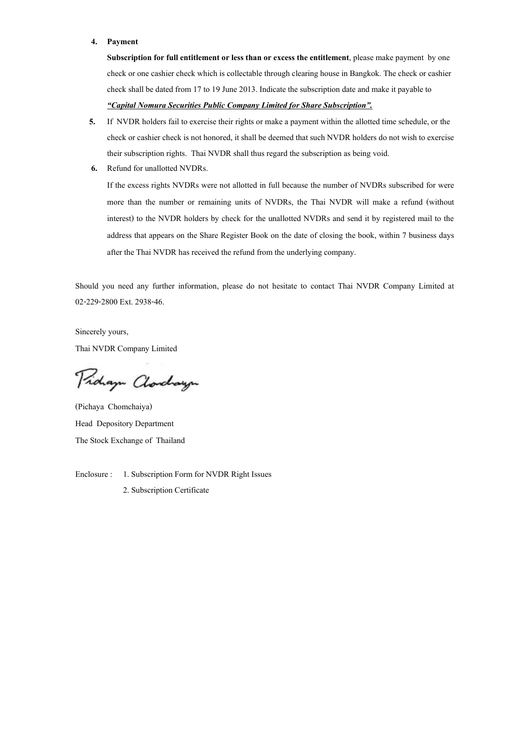#### **4. Payment**

**Subscription for full entitlement or less than or excess the entitlement**, please make payment by one check or one cashier check which is collectable through clearing house in Bangkok. The check or cashier check shall be dated from 17 to 19 June 2013. Indicate the subscription date and make it payable to *-Capital Nomura Securities Public Company Limited for Share Subscription.*

- **5.** If NVDR holders fail to exercise their rights or make a payment within the allotted time schedule, or the check or cashier check is not honored, it shall be deemed that such NVDR holders do not wish to exercise their subscription rights. Thai NVDR shall thus regard the subscription as being void.
- **6.** Refund for unallotted NVDRs.

If the excess rights NVDRs were not allotted in full because the number of NVDRs subscribed for were more than the number or remaining units of NVDRs, the Thai NVDR will make a refund (without interest) to the NVDR holders by check for the unallotted NVDRs and send it by registered mail to the address that appears on the Share Register Book on the date of closing the book, within 7 business days after the Thai NVDR has received the refund from the underlying company.

Should you need any further information, please do not hesitate to contact Thai NVDR Company Limited at 02-229-2800 Ext. 2938-46.

Sincerely yours, Thai NVDR Company Limited

Proham Clorchayn

(Pichaya Chomchaiya) Head Depository Department The Stock Exchange of Thailand

Enclosure : 1. Subscription Form for NVDR Right Issues 2. Subscription Certificate